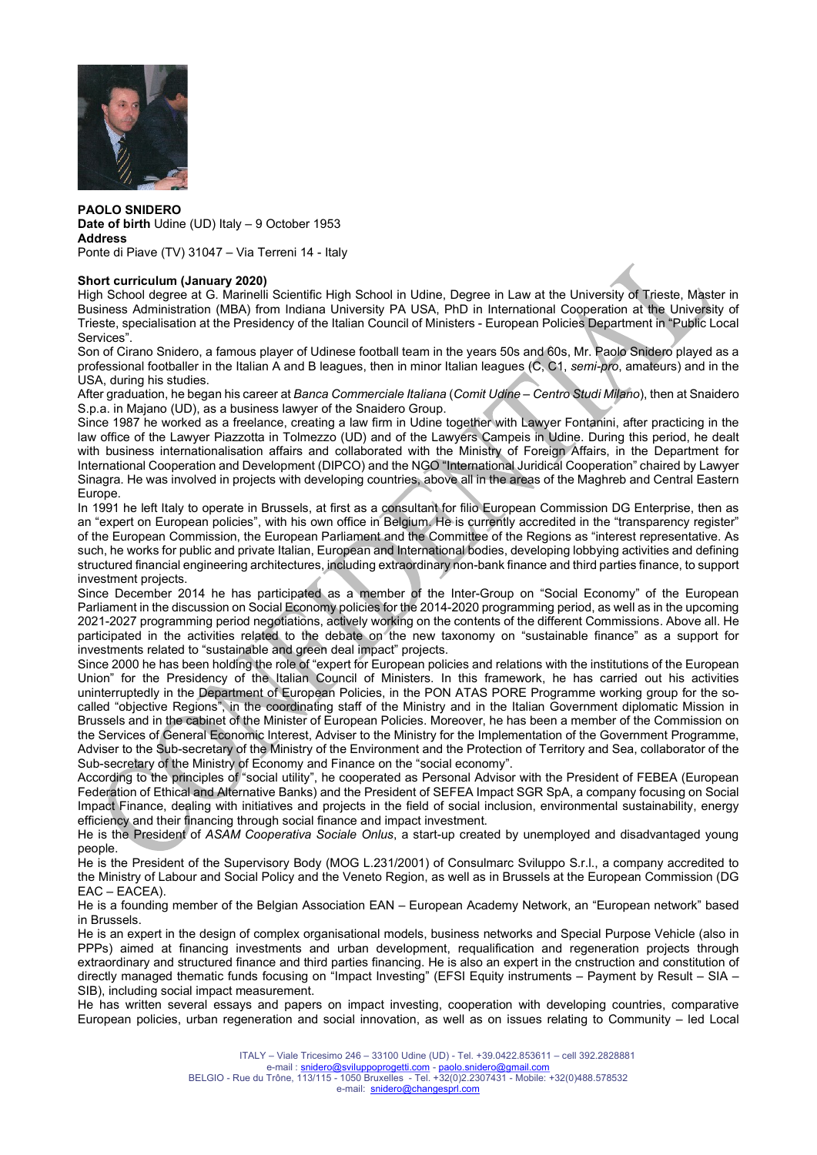

PAOLO SNIDERO Date of birth Udine (UD) Italy – 9 October 1953 Address Ponte di Piave (TV) 31047 – Via Terreni 14 - Italy

## Short curriculum (January 2020)

High School degree at G. Marinelli Scientific High School in Udine, Degree in Law at the University of Trieste, Master in Business Administration (MBA) from Indiana University PA USA, PhD in International Cooperation at the University of Trieste, specialisation at the Presidency of the Italian Council of Ministers - European Policies Department in "Public Local Services".

Son of Cirano Snidero, a famous player of Udinese football team in the years 50s and 60s, Mr. Paolo Snidero played as a professional footballer in the Italian A and B leagues, then in minor Italian leagues (C, C1, semi-pro, amateurs) and in the USA, during his studies.

After graduation, he began his career at Banca Commerciale Italiana (Comit Udine – Centro Studi Milano), then at Snaidero S.p.a. in Majano (UD), as a business lawyer of the Snaidero Group.

Since 1987 he worked as a freelance, creating a law firm in Udine together with Lawyer Fontanini, after practicing in the law office of the Lawyer Piazzotta in Tolmezzo (UD) and of the Lawyers Campeis in Udine. During this period, he dealt with business internationalisation affairs and collaborated with the Ministry of Foreign Affairs, in the Department for International Cooperation and Development (DIPCO) and the NGO "International Juridical Cooperation" chaired by Lawyer Sinagra. He was involved in projects with developing countries, above all in the areas of the Maghreb and Central Eastern Europe.

In 1991 he left Italy to operate in Brussels, at first as a consultant for filio European Commission DG Enterprise, then as an "expert on European policies", with his own office in Belgium. He is currently accredited in the "transparency register" of the European Commission, the European Parliament and the Committee of the Regions as "interest representative. As such, he works for public and private Italian, European and International bodies, developing lobbying activities and defining structured financial engineering architectures, including extraordinary non-bank finance and third parties finance, to support investment projects.

Since December 2014 he has participated as a member of the Inter-Group on "Social Economy" of the European Parliament in the discussion on Social Economy policies for the 2014-2020 programming period, as well as in the upcoming 2021-2027 programming period negotiations, actively working on the contents of the different Commissions. Above all. He participated in the activities related to the debate on the new taxonomy on "sustainable finance" as a support for investments related to "sustainable and green deal impact" projects.

Since 2000 he has been holding the role of "expert for European policies and relations with the institutions of the European Union" for the Presidency of the Italian Council of Ministers. In this framework, he has carried out his activities uninterruptedly in the Department of European Policies, in the PON ATAS PORE Programme working group for the socalled "objective Regions", in the coordinating staff of the Ministry and in the Italian Government diplomatic Mission in Brussels and in the cabinet of the Minister of European Policies. Moreover, he has been a member of the Commission on the Services of General Economic Interest, Adviser to the Ministry for the Implementation of the Government Programme, Adviser to the Sub-secretary of the Ministry of the Environment and the Protection of Territory and Sea, collaborator of the Sub-secretary of the Ministry of Economy and Finance on the "social economy".

According to the principles of "social utility", he cooperated as Personal Advisor with the President of FEBEA (European Federation of Ethical and Alternative Banks) and the President of SEFEA Impact SGR SpA, a company focusing on Social Impact Finance, dealing with initiatives and projects in the field of social inclusion, environmental sustainability, energy efficiency and their financing through social finance and impact investment.

He is the President of ASAM Cooperativa Sociale Onlus, a start-up created by unemployed and disadvantaged young people.

He is the President of the Supervisory Body (MOG L.231/2001) of Consulmarc Sviluppo S.r.l., a company accredited to the Ministry of Labour and Social Policy and the Veneto Region, as well as in Brussels at the European Commission (DG EAC – EACEA).

He is a founding member of the Belgian Association EAN – European Academy Network, an "European network" based in Brussels.

He is an expert in the design of complex organisational models, business networks and Special Purpose Vehicle (also in PPPs) aimed at financing investments and urban development, requalification and regeneration projects through extraordinary and structured finance and third parties financing. He is also an expert in the cnstruction and constitution of directly managed thematic funds focusing on "Impact Investing" (EFSI Equity instruments – Payment by Result – SIA – SIB), including social impact measurement.

He has written several essays and papers on impact investing, cooperation with developing countries, comparative European policies, urban regeneration and social innovation, as well as on issues relating to Community – led Local